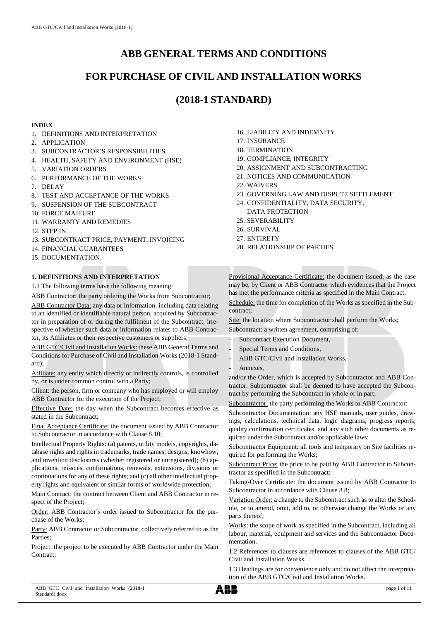# **ABB GENERAL TERMS AND CONDITIONS**

# **FOR PURCHASE OF CIVIL AND INSTALLATION WORKS**

# **(2018-1 STANDARD)**

# **INDEX**

- 1. DEFINITIONS AND INTERPRETATION
- 2. APPLICATION
- 3. SUBCONTRACTOR'S RESPONSIBILITIES
- 4. HEALTH, SAFETY AND ENVIRONMENT (HSE)
- 5. VARIATION ORDERS
- 6. PERFORMANCE OF THE WORKS
- 7. DELAY
- 8. TEST AND ACCEPTANCE OF THE WORKS
- 9. SUSPENSION OF THE SUBCONTRACT
- 10. FORCE MAJEURE
- 11. WARRANTY AND REMEDIES
- 12. STEP IN
- 13. SUBCONTRACT PRICE, PAYMENT, INVOICING
- 14. FINANCIAL GUARANTEES
- 15. DOCUMENTATION

## **1. DEFINITIONS AND INTERPRETATION**

1.1 The following terms have the following meaning:

ABB Contractor: the party ordering the Works from Subcontractor; ABB Contractor Data: any data or information, including data relating to an identified or identifiable natural person, acquired by Subcontractor in preparation of or during the fulfilment of the Subcontract, irrespective of whether such data or information relates to ABB Contractor, its Affiliates or their respective customers or suppliers;

ABB GTC/Civil and Installation Works: these ABB General Terms and Conditions for Purchase of Civil and Installation Works (2018-1 Standard);

Affiliate: any entity which directly or indirectly controls, is controlled by, or is under common control with a Party;

Client: the person, firm or company who has employed or will employ ABB Contractor for the execution of the Project;

Effective Date: the day when the Subcontract becomes effective as stated in the Subcontract;

Final Acceptance Certificate: the document issued by ABB Contractor to Subcontractor in accordance with Clause 8.10;

Intellectual Property Rights: (a) patents, utility models, copyrights, database rights and rights in trademarks, trade names, designs, knowhow, and invention disclosures (whether registered or unregistered); (b) applications, reissues, confirmations, renewals, extensions, divisions or continuations for any of these rights; and (c) all other intellectual property rights and equivalent or similar forms of worldwide protection;

Main Contract: the contract between Client and ABB Contractor in respect of the Project;

Order: ABB Contractor's order issued to Subcontractor for the purchase of the Works;

Party: ABB Contractor or Subcontractor, collectively referred to as the **Parties** 

Project: the project to be executed by ABB Contractor under the Main Contract:

- 16. LIABILITY AND INDEMNITY
- 17. INSURANCE
- 18. TERMINATION
- 19. COMPLIANCE, INTEGRITY
- 20. ASSIGNMENT AND SUBCONTRACTING
- 21. NOTICES AND COMMUNICATION
- 22. WAIVERS
- 23. GOVERNING LAW AND DISPUTE SETTLEMENT
- 24. CONFIDENTIALITY, DATA SECURITY, DATA PROTECTION
- 25. SEVERABILITY
- 26. SURVIVAL
- 27. ENTIRETY
- 28. RELATIONSHIP OF PARTIES

Provisional Acceptance Certificate: the document issued, as the case may be, by Client or ABB Contractor which evidences that the Project has met the performance criteria as specified in the Main Contract;

Schedule: the time for completion of the Works as specified in the Subcontract;

Site: the location where Subcontractor shall perform the Works;

Subcontract: a written agreement, comprising of:

- Subcontract Execution Document,
- Special Terms and Conditions,
- ABB GTC/Civil and Installation Works,
- Annexes,

and/or the Order, which is accepted by Subcontractor and ABB Contractor. Subcontractor shall be deemed to have accepted the Subcontract by performing the Subcontract in whole or in part;

Subcontractor: the party performing the Works to ABB Contractor;

Subcontractor Documentation: any HSE manuals, user guides, drawings, calculations, technical data, logic diagrams, progress reports, quality confirmation certificates, and any such other documents as required under the Subcontract and/or applicable laws;

Subcontractor Equipment: all tools and temporary on Site facilities required for performing the Works;

Subcontract Price: the price to be paid by ABB Contractor to Subcontractor as specified in the Subcontract;

Taking-Over Certificate: the document issued by ABB Contractor to Subcontractor in accordance with Clause 8.8;

Variation Order: a change to the Subcontract such as to alter the Schedule, or to amend, omit, add to, or otherwise change the Works or any parts thereof;

Works: the scope of work as specified in the Subcontract, including all labour, material, equipment and services and the Subcontractor Documentation.

1.2 References to clauses are references to clauses of the ABB GTC/ Civil and Installation Works.

1.3 Headings are for convenience only and do not affect the interpretation of the ABB GTC/Civil and Installation Works.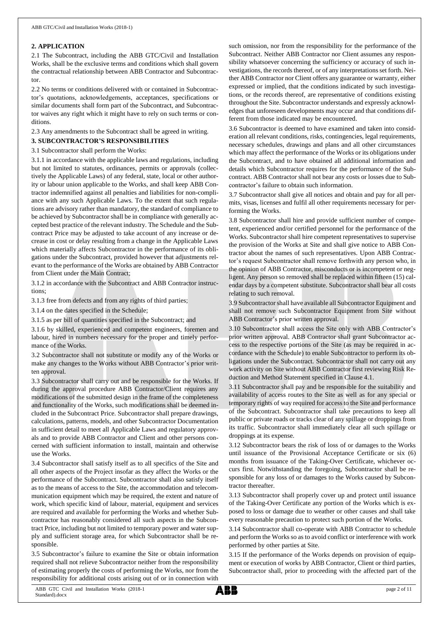#### **2. APPLICATION**

2.1 The Subcontract, including the ABB GTC/Civil and Installation Works, shall be the exclusive terms and conditions which shall govern the contractual relationship between ABB Contractor and Subcontractor.

2.2 No terms or conditions delivered with or contained in Subcontractor's quotations, acknowledgements, acceptances, specifications or similar documents shall form part of the Subcontract, and Subcontractor waives any right which it might have to rely on such terms or conditions.

2.3 Any amendments to the Subcontract shall be agreed in writing.

# **3. SUBCONTRACTOR'S RESPONSIBILITIES**

3.1 Subcontractor shall perform the Works:

3.1.1 in accordance with the applicable laws and regulations, including but not limited to statutes, ordinances, permits or approvals (collectively the Applicable Laws) of any federal, state, local or other authority or labour union applicable to the Works, and shall keep ABB Contractor indemnified against all penalties and liabilities for non-compliance with any such Applicable Laws. To the extent that such regulations are advisory rather than mandatory, the standard of compliance to be achieved by Subcontractor shall be in compliance with generally accepted best practice of the relevant industry. The Schedule and the Subcontract Price may be adjusted to take account of any increase or decrease in cost or delay resulting from a change in the Applicable Laws which materially affects Subcontractor in the performance of its obligations under the Subcontract, provided however that adjustments relevant to the performance of the Works are obtained by ABB Contractor from Client under the Main Contract;

3.1.2 in accordance with the Subcontract and ABB Contractor instructions;

3.1.3 free from defects and from any rights of third parties;

3.1.4 on the dates specified in the Schedule;

3.1.5 as per bill of quantities specified in the Subcontract; and

3.1.6 by skilled, experienced and competent engineers, foremen and labour, hired in numbers necessary for the proper and timely performance of the Works.

3.2 Subcontractor shall not substitute or modify any of the Works or make any changes to the Works without ABB Contractor's prior written approval.

3.3 Subcontractor shall carry out and be responsible for the Works. If during the approval procedure ABB Contractor/Client requires any modifications of the submitted design in the frame of the completeness and functionality of the Works, such modifications shall be deemed included in the Subcontract Price. Subcontractor shall prepare drawings, calculations, patterns, models, and other Subcontractor Documentation in sufficient detail to meet all Applicable Laws and regulatory approvals and to provide ABB Contractor and Client and other persons concerned with sufficient information to install, maintain and otherwise use the Works.

3.4 Subcontractor shall satisfy itself as to all specifics of the Site and all other aspects of the Project insofar as they affect the Works or the performance of the Subcontract. Subcontractor shall also satisfy itself as to the means of access to the Site, the accommodation and telecommunication equipment which may be required, the extent and nature of work, which specific kind of labour, material, equipment and services are required and available for performing the Works and whether Subcontractor has reasonably considered all such aspects in the Subcontract Price, including but not limited to temporary power and water supply and sufficient storage area, for which Subcontractor shall be responsible.

3.5 Subcontractor's failure to examine the Site or obtain information required shall not relieve Subcontractor neither from the responsibility of estimating properly the costs of performing the Works, nor from the responsibility for additional costs arising out of or in connection with

such omission, nor from the responsibility for the performance of the Subcontract. Neither ABB Contractor nor Client assumes any responsibility whatsoever concerning the sufficiency or accuracy of such investigations, the records thereof, or of any interpretations set forth. Neither ABB Contractor nor Client offers any guarantee or warranty, either expressed or implied, that the conditions indicated by such investigations, or the records thereof, are representative of conditions existing throughout the Site. Subcontractor understands and expressly acknowledges that unforeseen developments may occur and that conditions different from those indicated may be encountered.

3.6 Subcontractor is deemed to have examined and taken into consideration all relevant conditions, risks, contingencies, legal requirements, necessary schedules, drawings and plans and all other circumstances which may affect the performance of the Works or its obligations under the Subcontract, and to have obtained all additional information and details which Subcontractor requires for the performance of the Subcontract. ABB Contractor shall not bear any costs or losses due to Subcontractor's failure to obtain such information.

3.7 Subcontractor shall give all notices and obtain and pay for all permits, visas, licenses and fulfil all other requirements necessary for performing the Works.

3.8 Subcontractor shall hire and provide sufficient number of competent, experienced and/or certified personnel for the performance of the Works. Subcontractor shall hire competent representatives to supervise the provision of the Works at Site and shall give notice to ABB Contractor about the names of such representatives. Upon ABB Contractor's request Subcontractor shall remove forthwith any person who, in the opinion of ABB Contractor, misconducts or is incompetent or negligent. Any person so removed shall be replaced within fifteen (15) calendar days by a competent substitute. Subcontractor shall bear all costs relating to such removal.

3.9 Subcontractor shall have available all Subcontractor Equipment and shall not remove such Subcontractor Equipment from Site without ABB Contractor's prior written approval.

3.10 Subcontractor shall access the Site only with ABB Contractor's prior written approval. ABB Contractor shall grant Subcontractor access to the respective portions of the Site (as may be required in accordance with the Schedule) to enable Subcontractor to perform its obligations under the Subcontract. Subcontractor shall not carry out any work activity on Site without ABB Contractor first reviewing Risk Reduction and Method Statement specified in Clause 4.1.

3.11 Subcontractor shall pay and be responsible for the suitability and availability of access routes to the Site as well as for any special or temporary rights of way required for access to the Site and performance of the Subcontract. Subcontractor shall take precautions to keep all public or private roads or tracks clear of any spillage or droppings from its traffic. Subcontractor shall immediately clear all such spillage or droppings at its expense.

3.12 Subcontractor bears the risk of loss of or damages to the Works until issuance of the Provisional Acceptance Certificate or six (6) months from issuance of the Taking-Over Certificate, whichever occurs first. Notwithstanding the foregoing, Subcontractor shall be responsible for any loss of or damages to the Works caused by Subcontractor thereafter.

3.13 Subcontractor shall properly cover up and protect until issuance of the Taking-Over Certificate any portion of the Works which is exposed to loss or damage due to weather or other causes and shall take every reasonable precaution to protect such portion of the Works.

3.14 Subcontractor shall co-operate with ABB Contractor to schedule and perform the Works so as to avoid conflict or interference with work performed by other parties at Site.

3.15 If the performance of the Works depends on provision of equipment or execution of works by ABB Contractor, Client or third parties, Subcontractor shall, prior to proceeding with the affected part of the

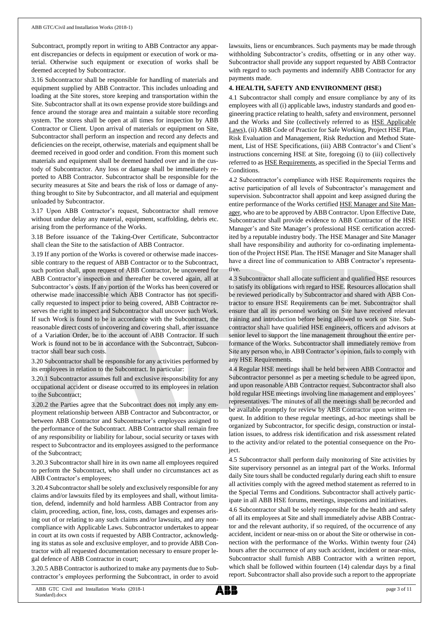Subcontract, promptly report in writing to ABB Contractor any apparent discrepancies or defects in equipment or execution of work or material. Otherwise such equipment or execution of works shall be deemed accepted by Subcontractor.

3.16 Subcontractor shall be responsible for handling of materials and equipment supplied by ABB Contractor. This includes unloading and loading at the Site stores, store keeping and transportation within the Site. Subcontractor shall at its own expense provide store buildings and fence around the storage area and maintain a suitable store recording system. The stores shall be open at all times for inspection by ABB Contractor or Client. Upon arrival of materials or equipment on Site, Subcontractor shall perform an inspection and record any defects and deficiencies on the receipt, otherwise, materials and equipment shall be deemed received in good order and condition. From this moment such materials and equipment shall be deemed handed over and in the custody of Subcontractor. Any loss or damage shall be immediately reported to ABB Contractor. Subcontractor shall be responsible for the security measures at Site and bears the risk of loss or damage of anything brought to Site by Subcontractor, and all material and equipment unloaded by Subcontractor.

3.17 Upon ABB Contractor's request, Subcontractor shall remove without undue delay any material, equipment, scaffolding, debris etc. arising from the performance of the Works.

3.18 Before issuance of the Taking-Over Certificate, Subcontractor shall clean the Site to the satisfaction of ABB Contractor.

3.19 If any portion of the Works is covered or otherwise made inaccessible contrary to the request of ABB Contractor or to the Subcontract, such portion shall, upon request of ABB Contractor, be uncovered for ABB Contractor's inspection and thereafter be covered again, all at Subcontractor's costs. If any portion of the Works has been covered or otherwise made inaccessible which ABB Contractor has not specifically requested to inspect prior to being covered, ABB Contractor reserves the right to inspect and Subcontractor shall uncover such Work. If such Work is found to be in accordance with the Subcontract, the reasonable direct costs of uncovering and covering shall, after issuance of a Variation Order, be to the account of ABB Contractor. If such Work is found not to be in accordance with the Subcontract, Subcontractor shall bear such costs.

3.20 Subcontractor shall be responsible for any activities performed by its employees in relation to the Subcontract. In particular:

3.20.1 Subcontractor assumes full and exclusive responsibility for any occupational accident or disease occurred to its employees in relation to the Subcontract;

3.20.2 the Parties agree that the Subcontract does not imply any employment relationship between ABB Contractor and Subcontractor, or between ABB Contractor and Subcontractor's employees assigned to the performance of the Subcontract. ABB Contractor shall remain free of any responsibility or liability for labour, social security or taxes with respect to Subcontractor and its employees assigned to the performance of the Subcontract;

3.20.3 Subcontractor shall hire in its own name all employees required to perform the Subcontract, who shall under no circumstances act as ABB Contractor's employees;

3.20.4 Subcontractorshall be solely and exclusively responsible for any claims and/or lawsuits filed by its employees and shall, without limitation, defend, indemnify and hold harmless ABB Contractor from any claim, proceeding, action, fine, loss, costs, damages and expenses arising out of or relating to any such claims and/or lawsuits, and any noncompliance with Applicable Laws. Subcontractor undertakes to appear in court at its own costs if requested by ABB Contractor, acknowledging its status as sole and exclusive employer, and to provide ABB Contractor with all requested documentation necessary to ensure proper legal defence of ABB Contractor in court;

3.20.5 ABB Contractor is authorized to make any payments due to Subcontractor's employees performing the Subcontract, in order to avoid lawsuits, liens or encumbrances. Such payments may be made through withholding Subcontractor's credits, offsetting or in any other way. Subcontractor shall provide any support requested by ABB Contractor with regard to such payments and indemnify ABB Contractor for any payments made.

## **4. HEALTH, SAFETY AND ENVIRONMENT (HSE)**

4.1 Subcontractor shall comply and ensure compliance by any of its employees with all (i) applicable laws, industry standards and good engineering practice relating to health, safety and environment, personnel and the Works and Site (collectively referred to as HSE Applicable Laws), (ii) ABB Code of Practice for Safe Working, Project HSE Plan, Risk Evaluation and Management, Risk Reduction and Method Statement, List of HSE Specifications, (iii) ABB Contractor's and Client's instructions concerning HSE at Site, foregoing (i) to (iii) collectively referred to as HSE Requirements, as specified in the Special Terms and Conditions.

4.2 Subcontractor's compliance with HSE Requirements requires the active participation of all levels of Subcontractor's management and supervision. Subcontractor shall appoint and keep assigned during the entire performance of the Works certified HSE Manager and Site Manager, who are to be approved by ABB Contractor. Upon Effective Date, Subcontractor shall provide evidence to ABB Contractor of the HSE Manager's and Site Manager's professional HSE certification accredited by a reputable industry body. The HSE Manager and Site Manager shall have responsibility and authority for co-ordinating implementation of the Project HSE Plan. The HSE Manager and Site Manager shall have a direct line of communication to ABB Contractor's representative.

4.3 Subcontractor shall allocate sufficient and qualified HSE resources to satisfy its obligations with regard to HSE. Resources allocation shall be reviewed periodically by Subcontractor and shared with ABB Contractor to ensure HSE Requirements can be met. Subcontractor shall ensure that all its personnel working on Site have received relevant training and introduction before being allowed to work on Site. Subcontractor shall have qualified HSE engineers, officers and advisors at senior level to support the line management throughout the entire performance of the Works. Subcontractor shall immediately remove from Site any person who, in ABB Contractor's opinion, fails to comply with any HSE Requirements.

4.4 Regular HSE meetings shall be held between ABB Contractor and Subcontractor personnel as per a meeting schedule to be agreed upon, and upon reasonable ABB Contractor request. Subcontractor shall also hold regular HSE meetings involving line management and employees' representatives. The minutes of all the meetings shall be recorded and be available promptly for review by ABB Contractor upon written request. In addition to these regular meetings, ad-hoc meetings shall be organized by Subcontractor, for specific design, construction or installation issues, to address risk identification and risk assessment related to the activity and/or related to the potential consequence on the Project.

4.5 Subcontractor shall perform daily monitoring of Site activities by Site supervisory personnel as an integral part of the Works. Informal daily Site tours shall be conducted regularly during each shift to ensure all activities comply with the agreed method statement as referred to in the Special Terms and Conditions. Subcontractor shall actively participate in all ABB HSE forums, meetings, inspections and initiatives.

4.6 Subcontractor shall be solely responsible for the health and safety of all its employees at Site and shall immediately advise ABB Contractor and the relevant authority, if so required, of the occurrence of any accident, incident or near-miss on or about the Site or otherwise in connection with the performance of the Works. Within twenty four (24) hours after the occurrence of any such accident, incident or near-miss, Subcontractor shall furnish ABB Contractor with a written report, which shall be followed within fourteen (14) calendar days by a final report. Subcontractor shall also provide such a report to the appropriate

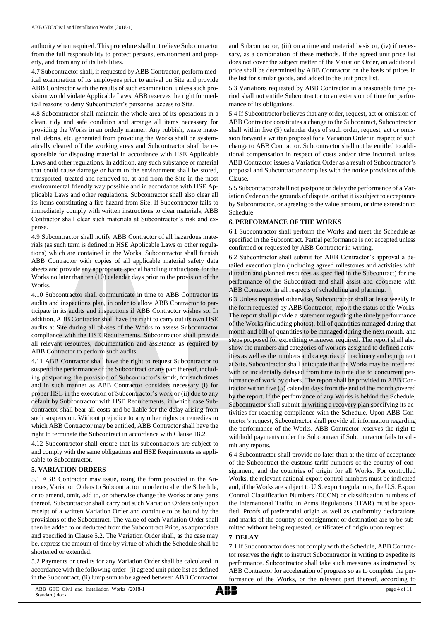authority when required. This procedure shall not relieve Subcontractor from the full responsibility to protect persons, environment and property, and from any of its liabilities.

4.7 Subcontractor shall, if requested by ABB Contractor, perform medical examination of its employees prior to arrival on Site and provide ABB Contractor with the results of such examination, unless such provision would violate Applicable Laws. ABB reserves the right for medical reasons to deny Subcontractor's personnel access to Site.

4.8 Subcontractor shall maintain the whole area of its operations in a clean, tidy and safe condition and arrange all items necessary for providing the Works in an orderly manner. Any rubbish, waste material, debris, etc. generated from providing the Works shall be systematically cleared off the working areas and Subcontractor shall be responsible for disposing material in accordance with HSE Applicable Laws and other regulations. In addition, any such substance or material that could cause damage or harm to the environment shall be stored, transported, treated and removed to, at and from the Site in the most environmental friendly way possible and in accordance with HSE Applicable Laws and other regulations. Subcontractor shall also clear all its items constituting a fire hazard from Site. If Subcontractor fails to immediately comply with written instructions to clear materials, ABB Contractor shall clear such materials at Subcontractor's risk and expense.

4.9 Subcontractor shall notify ABB Contractor of all hazardous materials (as such term is defined in HSE Applicable Laws or other regulations) which are contained in the Works. Subcontractor shall furnish ABB Contractor with copies of all applicable material safety data sheets and provide any appropriate special handling instructions for the Works no later than ten (10) calendar days prior to the provision of the Works.

4.10 Subcontractor shall communicate in time to ABB Contractor its audits and inspections plan, in order to allow ABB Contractor to participate in its audits and inspections if ABB Contractor wishes so. In addition, ABB Contractor shall have the right to carry out its own HSE audits at Site during all phases of the Works to assess Subcontractor compliance with the HSE Requirements. Subcontractor shall provide all relevant resources, documentation and assistance as required by ABB Contractor to perform such audits.

4.11 ABB Contractor shall have the right to request Subcontractor to suspend the performance of the Subcontract or any part thereof, including postponing the provision of Subcontractor's work, for such times and in such manner as ABB Contractor considers necessary (i) for proper HSE in the execution of Subcontractor's work or (ii) due to any default by Subcontractor with HSE Requirements, in which case Subcontractor shall bear all costs and be liable for the delay arising from such suspension. Without prejudice to any other rights or remedies to which ABB Contractor may be entitled, ABB Contractor shall have the right to terminate the Subcontract in accordance with Clause 18.2.

4.12 Subcontractor shall ensure that its subcontractors are subject to and comply with the same obligations and HSE Requirements as applicable to Subcontractor.

## **5. VARIATION ORDERS**

5.1 ABB Contractor may issue, using the form provided in the Annexes, Variation Orders to Subcontractor in order to alter the Schedule, or to amend, omit, add to, or otherwise change the Works or any parts thereof. Subcontractor shall carry out such Variation Orders only upon receipt of a written Variation Order and continue to be bound by the provisions of the Subcontract. The value of each Variation Order shall then be added to or deducted from the Subcontract Price, as appropriate and specified in Clause 5.2. The Variation Order shall, as the case may be, express the amount of time by virtue of which the Schedule shall be shortened or extended.

5.2 Payments or credits for any Variation Order shall be calculated in accordance with the following order: (i) agreed unit price list as defined in the Subcontract, (ii) lump sum to be agreed between ABB Contractor

and Subcontractor, (iii) on a time and material basis or, (iv) if necessary, as a combination of these methods. If the agreed unit price list does not cover the subject matter of the Variation Order, an additional price shall be determined by ABB Contractor on the basis of prices in the list for similar goods, and added to the unit price list.

5.3 Variations requested by ABB Contractor in a reasonable time period shall not entitle Subcontractor to an extension of time for performance of its obligations.

5.4 If Subcontractor believes that any order, request, act or omission of ABB Contractor constitutes a change to the Subcontract, Subcontractor shall within five (5) calendar days of such order, request, act or omission forward a written proposal for a Variation Order in respect of such change to ABB Contractor. Subcontractor shall not be entitled to additional compensation in respect of costs and/or time incurred, unless ABB Contractor issues a Variation Order as a result of Subcontractor's proposal and Subcontractor complies with the notice provisions of this Clause.

5.5 Subcontractor shall not postpone or delay the performance of a Variation Order on the grounds of dispute, or that it is subject to acceptance by Subcontractor, or agreeing to the value amount, or time extension to Schedule.

# **6. PERFORMANCE OF THE WORKS**

6.1 Subcontractor shall perform the Works and meet the Schedule as specified in the Subcontract. Partial performance is not accepted unless confirmed or requested by ABB Contractor in writing.

6.2 Subcontractor shall submit for ABB Contractor's approval a detailed execution plan (including agreed milestones and activities with duration and planned resources as specified in the Subcontract) for the performance of the Subcontract and shall assist and cooperate with ABB Contractor in all respects of scheduling and planning.

6.3 Unless requested otherwise, Subcontractor shall at least weekly in the form requested by ABB Contractor, report the status of the Works. The report shall provide a statement regarding the timely performance of the Works (including photos), bill of quantities managed during that month and bill of quantities to be managed during the next month, and steps proposed for expediting whenever required. The report shall also show the numbers and categories of workers assigned to defined activities as well as the numbers and categories of machinery and equipment at Site. Subcontractor shall anticipate that the Works may be interfered with or incidentally delayed from time to time due to concurrent performance of work by others. The report shall be provided to ABB Contractor within five (5) calendar days from the end of the month covered by the report. If the performance of any Works is behind the Schedule, Subcontractor shall submit in writing a recovery plan specifying its activities for reaching compliance with the Schedule. Upon ABB Contractor's request, Subcontractor shall provide all information regarding the performance of the Works. ABB Contractor reserves the right to withhold payments under the Subcontract if Subcontractor fails to submit any reports.

6.4 Subcontractor shall provide no later than at the time of acceptance of the Subcontract the customs tariff numbers of the country of consignment, and the countries of origin for all Works. For controlled Works, the relevant national export control numbers must be indicated and, if the Works are subject to U.S. export regulations, the U.S. Export Control Classification Numbers (ECCN) or classification numbers of the International Traffic in Arms Regulations (ITAR) must be specified. Proofs of preferential origin as well as conformity declarations and marks of the country of consignment or destination are to be submitted without being requested; certificates of origin upon request.

## **7. DELAY**

7.1 If Subcontractor does not comply with the Schedule, ABB Contractor reserves the right to instruct Subcontractor in writing to expedite its performance. Subcontractor shall take such measures as instructed by ABB Contractor for acceleration of progress so as to complete the performance of the Works, or the relevant part thereof, according to

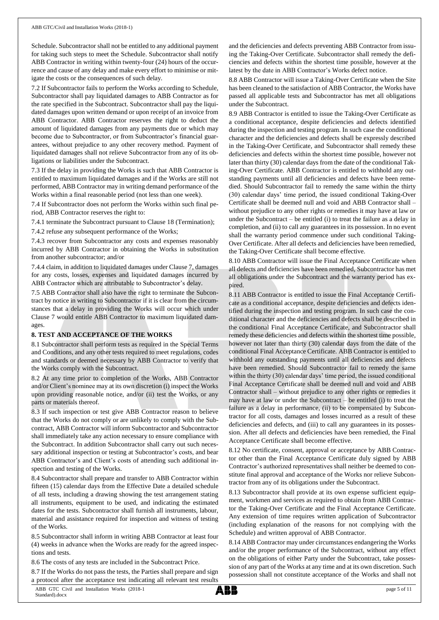Schedule. Subcontractor shall not be entitled to any additional payment for taking such steps to meet the Schedule. Subcontractor shall notify ABB Contractor in writing within twenty-four (24) hours of the occurrence and cause of any delay and make every effort to minimise or mitigate the costs or the consequences of such delay.

7.2 If Subcontractor fails to perform the Works according to Schedule, Subcontractor shall pay liquidated damages to ABB Contractor as for the rate specified in the Subcontract. Subcontractor shall pay the liquidated damages upon written demand or upon receipt of an invoice from ABB Contractor. ABB Contractor reserves the right to deduct the amount of liquidated damages from any payments due or which may become due to Subcontractor, or from Subcontractor's financial guarantees, without prejudice to any other recovery method. Payment of liquidated damages shall not relieve Subcontractor from any of its obligations or liabilities under the Subcontract.

7.3 If the delay in providing the Works is such that ABB Contractor is entitled to maximum liquidated damages and if the Works are still not performed, ABB Contractor may in writing demand performance of the Works within a final reasonable period (not less than one week).

7.4 If Subcontractor does not perform the Works within such final period, ABB Contractor reserves the right to:

7.4.1 terminate the Subcontract pursuant to Clause 18 (Termination);

7.4.2 refuse any subsequent performance of the Works;

7.4.3 recover from Subcontractor any costs and expenses reasonably incurred by ABB Contractor in obtaining the Works in substitution from another subcontractor; and/or

7.4.4 claim, in addition to liquidated damages under Clause 7, damages for any costs, losses, expenses and liquidated damages incurred by ABB Contractor which are attributable to Subcontractor's delay.

7.5 ABB Contractor shall also have the right to terminate the Subcontract by notice in writing to Subcontractor if it is clear from the circumstances that a delay in providing the Works will occur which under Clause 7 would entitle ABB Contractor to maximum liquidated damages.

## **8. TEST AND ACCEPTANCE OF THE WORKS**

8.1 Subcontractor shall perform tests as required in the Special Terms and Conditions, and any other tests required to meet regulations, codes and standards or deemed necessary by ABB Contractor to verify that the Works comply with the Subcontract.

8.2 At any time prior to completion of the Works, ABB Contractor and/or Client's nominee may at its own discretion (i) inspect the Works upon providing reasonable notice, and/or (ii) test the Works, or any parts or materials thereof.

8.3 If such inspection or test give ABB Contractor reason to believe that the Works do not comply or are unlikely to comply with the Subcontract, ABB Contractor will inform Subcontractor and Subcontractor shall immediately take any action necessary to ensure compliance with the Subcontract. In addition Subcontractor shall carry out such necessary additional inspection or testing at Subcontractor's costs, and bear ABB Contractor's and Client's costs of attending such additional inspection and testing of the Works.

8.4 Subcontractor shall prepare and transfer to ABB Contractor within fifteen (15) calendar days from the Effective Date a detailed schedule of all tests, including a drawing showing the test arrangement stating all instruments, equipment to be used, and indicating the estimated dates for the tests. Subcontractor shall furnish all instruments, labour, material and assistance required for inspection and witness of testing of the Works.

8.5 Subcontractor shall inform in writing ABB Contractor at least four (4) weeks in advance when the Works are ready for the agreed inspections and tests.

8.6 The costs of any tests are included in the Subcontract Price.

8.7 If the Works do not pass the tests, the Parties shall prepare and sign a protocol after the acceptance test indicating all relevant test results and the deficiencies and defects preventing ABB Contractor from issuing the Taking-Over Certificate. Subcontractor shall remedy the deficiencies and defects within the shortest time possible, however at the latest by the date in ABB Contractor's Works defect notice.

8.8 ABB Contractor will issue a Taking-Over Certificate when the Site has been cleaned to the satisfaction of ABB Contractor, the Works have passed all applicable tests and Subcontractor has met all obligations under the Subcontract.

8.9 ABB Contractor is entitled to issue the Taking-Over Certificate as a conditional acceptance, despite deficiencies and defects identified during the inspection and testing program. In such case the conditional character and the deficiencies and defects shall be expressly described in the Taking-Over Certificate, and Subcontractor shall remedy these deficiencies and defects within the shortest time possible, however not later than thirty (30) calendar days from the date of the conditional Taking-Over Certificate. ABB Contractor is entitled to withhold any outstanding payments until all deficiencies and defects have been remedied. Should Subcontractor fail to remedy the same within the thirty (30) calendar days' time period, the issued conditional Taking-Over Certificate shall be deemed null and void and ABB Contractor shall – without prejudice to any other rights or remedies it may have at law or under the Subcontract – be entitled (i) to treat the failure as a delay in completion, and (ii) to call any guarantees in its possession. In no event shall the warranty period commence under such conditional Taking-Over Certificate. After all defects and deficiencies have been remedied, the Taking-Over Certificate shall become effective.

8.10 ABB Contractor will issue the Final Acceptance Certificate when all defects and deficiencies have been remedied, Subcontractor has met all obligations under the Subcontract and the warranty period has expired.

8.11 ABB Contractor is entitled to issue the Final Acceptance Certificate as a conditional acceptance, despite deficiencies and defects identified during the inspection and testing program. In such case the conditional character and the deficiencies and defects shall be described in the conditional Final Acceptance Certificate, and Subcontractor shall remedy these deficiencies and defects within the shortest time possible, however not later than thirty (30) calendar days from the date of the conditional Final Acceptance Certificate. ABB Contractor is entitled to withhold any outstanding payments until all deficiencies and defects have been remedied. Should Subcontractor fail to remedy the same within the thirty (30) calendar days' time period, the issued conditional Final Acceptance Certificate shall be deemed null and void and ABB Contractor shall – without prejudice to any other rights or remedies it may have at law or under the Subcontract – be entitled (i) to treat the failure as a delay in performance, (ii) to be compensated by Subcontractor for all costs, damages and losses incurred as a result of these deficiencies and defects, and (iii) to call any guarantees in its possession. After all defects and deficiencies have been remedied, the Final Acceptance Certificate shall become effective.

8.12 No certificate, consent, approval or acceptance by ABB Contractor other than the Final Acceptance Certificate duly signed by ABB Contractor's authorized representatives shall neither be deemed to constitute final approval and acceptance of the Works nor relieve Subcontractor from any of its obligations under the Subcontract.

8.13 Subcontractor shall provide at its own expense sufficient equipment, workmen and services as required to obtain from ABB Contractor the Taking-Over Certificate and the Final Acceptance Certificate. Any extension of time requires written application of Subcontractor (including explanation of the reasons for not complying with the Schedule) and written approval of ABB Contractor.

8.14 ABB Contractor may under circumstances endangering the Works and/or the proper performance of the Subcontract, without any effect on the obligations of either Party under the Subcontract, take possession of any part of the Works at any time and at its own discretion. Such possession shall not constitute acceptance of the Works and shall not

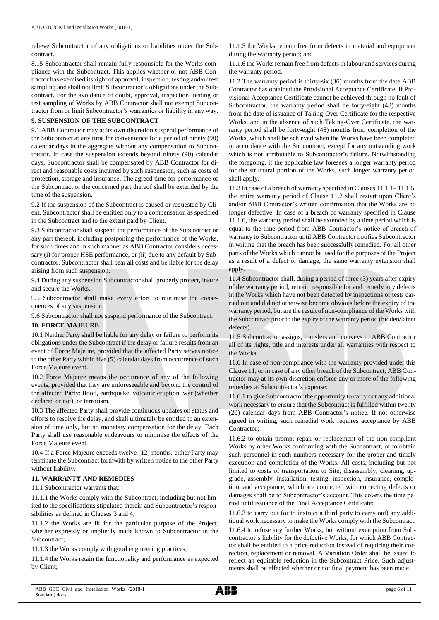relieve Subcontractor of any obligations or liabilities under the Subcontract.

8.15 Subcontractor shall remain fully responsible for the Works compliance with the Subcontract. This applies whether or not ABB Contractor has exercised its right of approval, inspection, testing and/or test sampling and shall not limit Subcontractor's obligations under the Subcontract. For the avoidance of doubt, approval, inspection, testing or test sampling of Works by ABB Contractor shall not exempt Subcontractor from or limit Subcontractor's warranties or liability in any way.

## **9. SUSPENSION OF THE SUBCONTRACT**

9.1 ABB Contractor may at its own discretion suspend performance of the Subcontract at any time for convenience for a period of ninety (90) calendar days in the aggregate without any compensation to Subcontractor. In case the suspension extends beyond ninety (90) calendar days, Subcontractor shall be compensated by ABB Contractor for direct and reasonable costs incurred by such suspension, such as costs of protection, storage and insurance. The agreed time for performance of the Subcontract or the concerned part thereof shall be extended by the time of the suspension.

9.2 If the suspension of the Subcontract is caused or requested by Client, Subcontractor shall be entitled only to a compensation as specified in the Subcontract and to the extent paid by Client.

9.3 Subcontractor shall suspend the performance of the Subcontract or any part thereof, including postponing the performance of the Works, for such times and in such manner as ABB Contractor considers necessary (i) for proper HSE performance, or (ii) due to any default by Subcontractor. Subcontractor shall bear all costs and be liable for the delay arising from such suspension.

9.4 During any suspension Subcontractor shall properly protect, insure and secure the Works.

9.5 Subcontractor shall make every effort to minimise the consequences of any suspension.

9.6 Subcontractor shall not suspend performance of the Subcontract.

# **10. FORCE MAJEURE**

10.1 Neither Party shall be liable for any delay or failure to perform its obligations under the Subcontract if the delay or failure results from an event of Force Majeure, provided that the affected Party serves notice to the other Party within five (5) calendar days from occurrence of such Force Majeure event.

10.2 Force Majeure means the occurrence of any of the following events, provided that they are unforeseeable and beyond the control of the affected Party: flood, earthquake, volcanic eruption, war (whether declared or not), or terrorism.

10.3 The affected Party shall provide continuous updates on status and efforts to resolve the delay, and shall ultimately be entitled to an extension of time only, but no monetary compensation for the delay. Each Party shall use reasonable endeavours to minimise the effects of the Force Majeure event.

10.4 If a Force Majeure exceeds twelve (12) months, either Party may terminate the Subcontract forthwith by written notice to the other Party without liability.

# **11. WARRANTY AND REMEDIES**

11.1 Subcontractor warrants that:

11.1.1 the Works comply with the Subcontract, including but not limited to the specifications stipulated therein and Subcontractor's responsibilities as defined in Clauses 3 and 4;

11.1.2 the Works are fit for the particular purpose of the Project, whether expressly or impliedly made known to Subcontractor in the Subcontract;

11.1.3 the Works comply with good engineering practices;

11.1.4 the Works retain the functionality and performance as expected by Client;

11.1.5 the Works remain free from defects in material and equipment during the warranty period; and

11.1.6 the Works remain free from defects in labour and services during the warranty period.

11.2 The warranty period is thirty-six (36) months from the date ABB Contractor has obtained the Provisional Acceptance Certificate. If Provisional Acceptance Certificate cannot be achieved through no fault of Subcontractor, the warranty period shall be forty-eight (48) months from the date of issuance of Taking-Over Certificate for the respective Works, and in the absence of such Taking-Over Certificate, the warranty period shall be forty-eight (48) months from completion of the Works, which shall be achieved when the Works have been completed in accordance with the Subcontract, except for any outstanding work which is not attributable to Subcontractor's failure. Notwithstanding the foregoing, if the applicable law foresees a longer warranty period for the structural portion of the Works, such longer warranty period shall apply.

11.3 In case of a breach of warranty specified in Clauses 11.1.1– 11.1.5, the entire warranty period of Clause 11.2 shall restart upon Client's and/or ABB Contractor's written confirmation that the Works are no longer defective. In case of a breach of warranty specified in Clause 11.1.6, the warranty period shall be extended by a time period which is equal to the time period from ABB Contractor's notice of breach of warranty to Subcontractor until ABB Contractor notifies Subcontractor in writing that the breach has been successfully remedied. For all other parts of the Works which cannot be used for the purposes of the Project as a result of a defect or damage, the same warranty extension shall apply.

11.4 Subcontractor shall, during a period of three (3) years after expiry of the warranty period, remain responsible for and remedy any defects in the Works which have not been detected by inspections or tests carried out and did not otherwise become obvious before the expiry of the warranty period, but are the result of non-compliance of the Works with the Subcontract prior to the expiry of the warranty period (hidden/latent defects).

11.5 Subcontractor assigns, transfers and conveys to ABB Contractor all of its rights, title and interests under all warranties with respect to the Works.

11.6 In case of non-compliance with the warranty provided under this Clause 11, or in case of any other breach of the Subcontract, ABB Contractor may at its own discretion enforce any or more of the following remedies at Subcontractor's expense:

11.6.1 to give Subcontractor the opportunity to carry out any additional work necessary to ensure that the Subcontract is fulfilled within twenty (20) calendar days from ABB Contractor's notice. If not otherwise agreed in writing, such remedial work requires acceptance by ABB Contractor;

11.6.2 to obtain prompt repair or replacement of the non-compliant Works by other Works conforming with the Subcontract, or to obtain such personnel in such numbers necessary for the proper and timely execution and completion of the Works. All costs, including but not limited to costs of transportation to Site, disassembly, cleaning, upgrade, assembly, installation, testing, inspection, insurance, completion, and acceptance, which are connected with correcting defects or damages shall be to Subcontractor's account. This covers the time period until issuance of the Final Acceptance Certificate;

11.6.3 to carry out (or to instruct a third party to carry out) any additional work necessary to make the Works comply with the Subcontract;

11.6.4 to refuse any further Works, but without exemption from Subcontractor's liability for the defective Works, for which ABB Contractor shall be entitled to a price reduction instead of requiring their correction, replacement or removal. A Variation Order shall be issued to reflect an equitable reduction in the Subcontract Price. Such adjustments shall be effected whether or not final payment has been made;

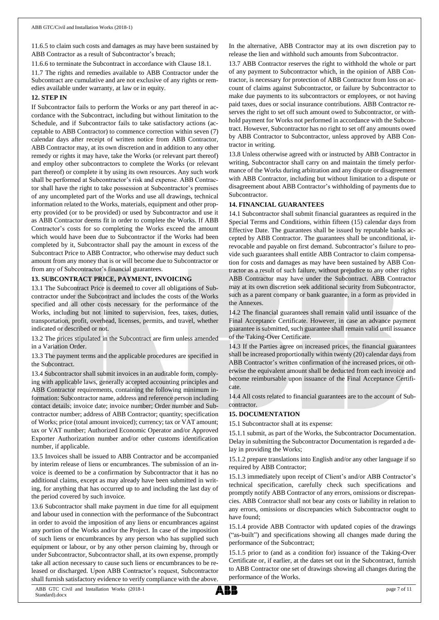11.6.5 to claim such costs and damages as may have been sustained by ABB Contractor as a result of Subcontractor's breach;

11.6.6 to terminate the Subcontract in accordance with Clause 18.1.

11.7 The rights and remedies available to ABB Contractor under the Subcontract are cumulative and are not exclusive of any rights or remedies available under warranty, at law or in equity.

## **12. STEP IN**

If Subcontractor fails to perform the Works or any part thereof in accordance with the Subcontract, including but without limitation to the Schedule, and if Subcontractor fails to take satisfactory actions (acceptable to ABB Contractor) to commence correction within seven (7) calendar days after receipt of written notice from ABB Contractor, ABB Contractor may, at its own discretion and in addition to any other remedy or rights it may have, take the Works (or relevant part thereof) and employ other subcontractors to complete the Works (or relevant part thereof) or complete it by using its own resources. Any such work shall be performed at Subcontractor's risk and expense. ABB Contractor shall have the right to take possession at Subcontractor's premises of any uncompleted part of the Works and use all drawings, technical information related to the Works, materials, equipment and other property provided (or to be provided) or used by Subcontractor and use it as ABB Contractor deems fit in order to complete the Works. If ABB Contractor's costs for so completing the Works exceed the amount which would have been due to Subcontractor if the Works had been completed by it, Subcontractor shall pay the amount in excess of the Subcontract Price to ABB Contractor, who otherwise may deduct such amount from any money that is or will become due to Subcontractor or from any of Subcontractor's financial guarantees.

# **13. SUBCONTRACT PRICE, PAYMENT, INVOICING**

13.1 The Subcontract Price is deemed to cover all obligations of Subcontractor under the Subcontract and includes the costs of the Works specified and all other costs necessary for the performance of the Works, including but not limited to supervision, fees, taxes, duties, transportation, profit, overhead, licenses, permits, and travel, whether indicated or described or not.

13.2 The prices stipulated in the Subcontract are firm unless amended in a Variation Order.

13.3 The payment terms and the applicable procedures are specified in the Subcontract.

13.4 Subcontractor shall submit invoices in an auditable form, complying with applicable laws, generally accepted accounting principles and ABB Contractor requirements, containing the following minimum information: Subcontractor name, address and reference person including contact details; invoice date; invoice number; Order number and Subcontractor number; address of ABB Contractor; quantity; specification of Works; price (total amount invoiced); currency; tax or VAT amount; tax or VAT number; Authorized Economic Operator and/or Approved Exporter Authorization number and/or other customs identification number, if applicable.

13.5 Invoices shall be issued to ABB Contractor and be accompanied by interim release of liens or encumbrances. The submission of an invoice is deemed to be a confirmation by Subcontractor that it has no additional claims, except as may already have been submitted in writing, for anything that has occurred up to and including the last day of the period covered by such invoice.

13.6 Subcontractor shall make payment in due time for all equipment and labour used in connection with the performance of the Subcontract in order to avoid the imposition of any liens or encumbrances against any portion of the Works and/or the Project. In case of the imposition of such liens or encumbrances by any person who has supplied such equipment or labour, or by any other person claiming by, through or under Subcontractor, Subcontractor shall, at its own expense, promptly take all action necessary to cause such liens or encumbrances to be released or discharged. Upon ABB Contractor's request, Subcontractor shall furnish satisfactory evidence to verify compliance with the above.

In the alternative, ABB Contractor may at its own discretion pay to release the lien and withhold such amounts from Subcontractor.

13.7 ABB Contractor reserves the right to withhold the whole or part of any payment to Subcontractor which, in the opinion of ABB Contractor, is necessary for protection of ABB Contractor from loss on account of claims against Subcontractor, or failure by Subcontractor to make due payments to its subcontractors or employees, or not having paid taxes, dues or social insurance contributions. ABB Contractor reserves the right to set off such amount owed to Subcontractor, or withhold payment for Works not performed in accordance with the Subcontract. However, Subcontractor has no right to set off any amounts owed by ABB Contractor to Subcontractor, unless approved by ABB Contractor in writing.

13.8 Unless otherwise agreed with or instructed by ABB Contractor in writing, Subcontractor shall carry on and maintain the timely performance of the Works during arbitration and any dispute or disagreement with ABB Contractor, including but without limitation to a dispute or disagreement about ABB Contractor's withholding of payments due to Subcontractor.

## **14. FINANCIAL GUARANTEES**

14.1 Subcontractor shall submit financial guarantees as required in the Special Terms and Conditions, within fifteen (15) calendar days from Effective Date. The guarantees shall be issued by reputable banks accepted by ABB Contractor. The guarantees shall be unconditional, irrevocable and payable on first demand. Subcontractor's failure to provide such guarantees shall entitle ABB Contractor to claim compensation for costs and damages as may have been sustained by ABB Contractor as a result of such failure, without prejudice to any other rights ABB Contractor may have under the Subcontract. ABB Contractor may at its own discretion seek additional security from Subcontractor, such as a parent company or bank guarantee, in a form as provided in the Annexes.

14.2 The financial guarantees shall remain valid until issuance of the Final Acceptance Certificate. However, in case an advance payment guarantee is submitted, such guarantee shall remain valid until issuance of the Taking-Over Certificate.

14.3 If the Parties agree on increased prices, the financial guarantees shall be increased proportionally within twenty (20) calendar days from ABB Contractor's written confirmation of the increased prices, or otherwise the equivalent amount shall be deducted from each invoice and become reimbursable upon issuance of the Final Acceptance Certificate.

14.4 All costs related to financial guarantees are to the account of Subcontractor.

# **15. DOCUMENTATION**

15.1 Subcontractor shall at its expense:

15.1.1 submit, as part of the Works, the Subcontractor Documentation. Delay in submitting the Subcontractor Documentation is regarded a delay in providing the Works;

15.1.2 prepare translations into English and/or any other language if so required by ABB Contractor;

15.1.3 immediately upon receipt of Client's and/or ABB Contractor's technical specification, carefully check such specifications and promptly notify ABB Contractor of any errors, omissions or discrepancies. ABB Contractor shall not bear any costs or liability in relation to any errors, omissions or discrepancies which Subcontractor ought to have found;

15.1.4 provide ABB Contractor with updated copies of the drawings ("as-built") and specifications showing all changes made during the performance of the Subcontract;

15.1.5 prior to (and as a condition for) issuance of the Taking-Over Certificate or, if earlier, at the dates set out in the Subcontract, furnish to ABB Contractor one set of drawings showing all changes during the performance of the Works.

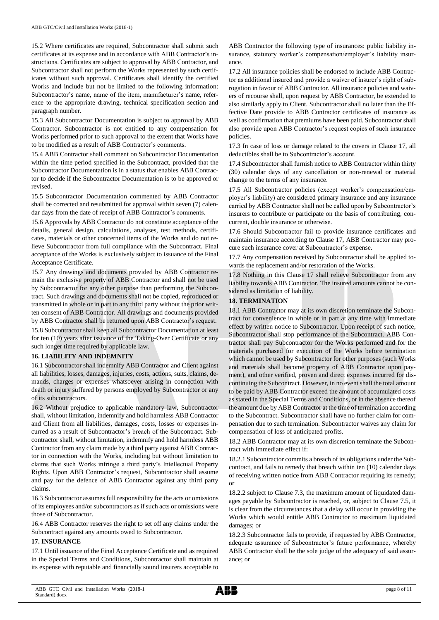15.2 Where certificates are required, Subcontractor shall submit such certificates at its expense and in accordance with ABB Contractor's instructions. Certificates are subject to approval by ABB Contractor, and Subcontractor shall not perform the Works represented by such certificates without such approval. Certificates shall identify the certified Works and include but not be limited to the following information: Subcontractor's name, name of the item, manufacturer's name, reference to the appropriate drawing, technical specification section and paragraph number.

15.3 All Subcontractor Documentation is subject to approval by ABB Contractor. Subcontractor is not entitled to any compensation for Works performed prior to such approval to the extent that Works have to be modified as a result of ABB Contractor's comments.

15.4 ABB Contractor shall comment on Subcontractor Documentation within the time period specified in the Subcontract, provided that the Subcontractor Documentation is in a status that enables ABB Contractor to decide if the Subcontractor Documentation is to be approved or revised.

15.5 Subcontractor Documentation commented by ABB Contractor shall be corrected and resubmitted for approval within seven (7) calendar days from the date of receipt of ABB Contractor's comments.

15.6 Approvals by ABB Contractor do not constitute acceptance of the details, general design, calculations, analyses, test methods, certificates, materials or other concerned items of the Works and do not relieve Subcontractor from full compliance with the Subcontract. Final acceptance of the Works is exclusively subject to issuance of the Final Acceptance Certificate.

15.7 Any drawings and documents provided by ABB Contractor remain the exclusive property of ABB Contractor and shall not be used by Subcontractor for any other purpose than performing the Subcontract. Such drawings and documents shall not be copied, reproduced or transmitted in whole or in part to any third party without the prior written consent of ABB Contractor. All drawings and documents provided by ABB Contractor shall be returned upon ABB Contractor's request. 15.8 Subcontractor shall keep all Subcontractor Documentation at least for ten (10) years after issuance of the Taking-Over Certificate or any such longer time required by applicable law.

## **16. LIABILITY AND INDEMNITY**

16.1 Subcontractor shall indemnify ABB Contractor and Client against all liabilities, losses, damages, injuries, costs, actions, suits, claims, demands, charges or expenses whatsoever arising in connection with death or injury suffered by persons employed by Subcontractor or any of its subcontractors.

16.2 Without prejudice to applicable mandatory law, Subcontractor shall, without limitation, indemnify and hold harmless ABB Contractor and Client from all liabilities, damages, costs, losses or expenses incurred as a result of Subcontractor's breach of the Subcontract. Subcontractor shall, without limitation, indemnify and hold harmless ABB Contractor from any claim made by a third party against ABB Contractor in connection with the Works, including but without limitation to claims that such Works infringe a third party's Intellectual Property Rights. Upon ABB Contractor's request, Subcontractor shall assume and pay for the defence of ABB Contractor against any third party claims.

16.3 Subcontractor assumes full responsibility for the acts or omissions of its employees and/or subcontractors as if such acts or omissions were those of Subcontractor.

16.4 ABB Contractor reserves the right to set off any claims under the Subcontract against any amounts owed to Subcontractor.

## **17. INSURANCE**

17.1 Until issuance of the Final Acceptance Certificate and as required in the Special Terms and Conditions, Subcontractor shall maintain at its expense with reputable and financially sound insurers acceptable to ABB Contractor the following type of insurances: public liability insurance, statutory worker's compensation/employer's liability insurance.

17.2 All insurance policies shall be endorsed to include ABB Contractor as additional insured and provide a waiver of insurer's right of subrogation in favour of ABB Contractor. All insurance policies and waivers of recourse shall, upon request by ABB Contractor, be extended to also similarly apply to Client. Subcontractor shall no later than the Effective Date provide to ABB Contractor certificates of insurance as well as confirmation that premiums have been paid. Subcontractor shall also provide upon ABB Contractor's request copies of such insurance policies.

17.3 In case of loss or damage related to the covers in Clause 17, all deductibles shall be to Subcontractor's account.

17.4 Subcontractor shall furnish notice to ABB Contractor within thirty (30) calendar days of any cancellation or non-renewal or material change to the terms of any insurance.

17.5 All Subcontractor policies (except worker's compensation/employer's liability) are considered primary insurance and any insurance carried by ABB Contractor shall not be called upon by Subcontractor's insurers to contribute or participate on the basis of contributing, concurrent, double insurance or otherwise.

17.6 Should Subcontractor fail to provide insurance certificates and maintain insurance according to Clause 17, ABB Contractor may procure such insurance cover at Subcontractor's expense.

17.7 Any compensation received by Subcontractor shall be applied towards the replacement and/or restoration of the Works.

17.8 Nothing in this Clause 17 shall relieve Subcontractor from any liability towards ABB Contractor. The insured amounts cannot be considered as limitation of liability.

## **18. TERMINATION**

18.1 ABB Contractor may at its own discretion terminate the Subcontract for convenience in whole or in part at any time with immediate effect by written notice to Subcontractor. Upon receipt of such notice, Subcontractor shall stop performance of the Subcontract. ABB Contractor shall pay Subcontractor for the Works performed and for the materials purchased for execution of the Works before termination which cannot be used by Subcontractor for other purposes (such Works and materials shall become property of ABB Contractor upon payment), and other verified, proven and direct expenses incurred for discontinuing the Subcontract. However, in no event shall the total amount to be paid by ABB Contractor exceed the amount of accumulated costs as stated in the Special Terms and Conditions, or in the absence thereof the amount due by ABB Contractor at the time of termination according to the Subcontract. Subcontractor shall have no further claim for compensation due to such termination. Subcontractor waives any claim for compensation of loss of anticipated profits.

18.2 ABB Contractor may at its own discretion terminate the Subcontract with immediate effect if:

18.2.1 Subcontractor commits a breach of its obligations under the Subcontract, and fails to remedy that breach within ten (10) calendar days of receiving written notice from ABB Contractor requiring its remedy; or

18.2.2 subject to Clause 7.3, the maximum amount of liquidated damages payable by Subcontractor is reached, or, subject to Clause 7.5, it is clear from the circumstances that a delay will occur in providing the Works which would entitle ABB Contractor to maximum liquidated damages; or

18.2.3 Subcontractor fails to provide, if requested by ABB Contractor, adequate assurance of Subcontractor's future performance, whereby ABB Contractor shall be the sole judge of the adequacy of said assurance; or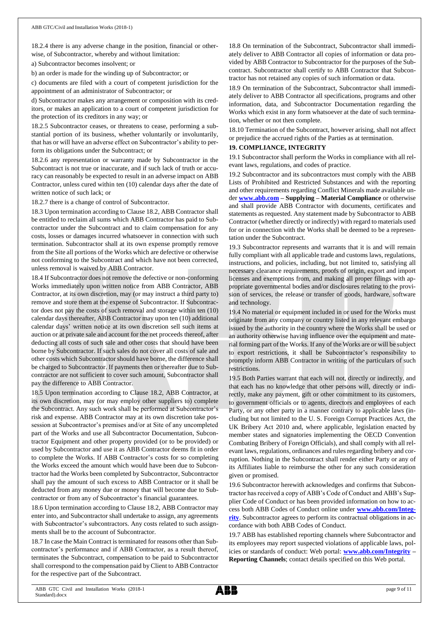18.2.4 there is any adverse change in the position, financial or otherwise, of Subcontractor, whereby and without limitation:

a) Subcontractor becomes insolvent; or

b) an order is made for the winding up of Subcontractor; or

c) documents are filed with a court of competent jurisdiction for the appointment of an administrator of Subcontractor; or

d) Subcontractor makes any arrangement or composition with its creditors, or makes an application to a court of competent jurisdiction for the protection of its creditors in any way; or

18.2.5 Subcontractor ceases, or threatens to cease, performing a substantial portion of its business, whether voluntarily or involuntarily, that has or will have an adverse effect on Subcontractor's ability to perform its obligations under the Subcontract; or

18.2.6 any representation or warranty made by Subcontractor in the Subcontract is not true or inaccurate, and if such lack of truth or accuracy can reasonably be expected to result in an adverse impact on ABB Contractor, unless cured within ten (10) calendar days after the date of written notice of such lack; or

18.2.7 there is a change of control of Subcontractor.

18.3 Upon termination according to Clause 18.2, ABB Contractor shall be entitled to reclaim all sums which ABB Contractor has paid to Subcontractor under the Subcontract and to claim compensation for any costs, losses or damages incurred whatsoever in connection with such termination. Subcontractor shall at its own expense promptly remove from the Site all portions of the Works which are defective or otherwise not conforming to the Subcontract and which have not been corrected, unless removal is waived by ABB Contractor.

18.4 If Subcontractor does not remove the defective or non-conforming Works immediately upon written notice from ABB Contractor, ABB Contractor, at its own discretion, may (or may instruct a third party to) remove and store them at the expense of Subcontractor. If Subcontractor does not pay the costs of such removal and storage within ten (10) calendar days thereafter, ABB Contractor may upon ten (10) additional calendar days' written notice at its own discretion sell such items at auction or at private sale and account for the net proceeds thereof, after deducting all costs of such sale and other costs that should have been borne by Subcontractor. If such sales do not cover all costs of sale and other costs which Subcontractor should have borne, the difference shall be charged to Subcontractor. If payments then or thereafter due to Subcontractor are not sufficient to cover such amount, Subcontractor shall pay the difference to ABB Contractor.

18.5 Upon termination according to Clause 18.2, ABB Contractor, at its own discretion, may (or may employ other suppliers to) complete the Subcontract. Any such work shall be performed at Subcontractor's risk and expense. ABB Contractor may at its own discretion take possession at Subcontractor's premises and/or at Site of any uncompleted part of the Works and use all Subcontractor Documentation, Subcontractor Equipment and other property provided (or to be provided) or used by Subcontractor and use it as ABB Contractor deems fit in order to complete the Works. If ABB Contractor's costs for so completing the Works exceed the amount which would have been due to Subcontractor had the Works been completed by Subcontractor, Subcontractor shall pay the amount of such excess to ABB Contractor or it shall be deducted from any money due or money that will become due to Subcontractor or from any of Subcontractor's financial guarantees.

18.6 Upon termination according to Clause 18.2, ABB Contractor may enter into, and Subcontractor shall undertake to assign, any agreements with Subcontractor's subcontractors. Any costs related to such assignments shall be to the account of Subcontractor.

18.7 In case the Main Contract is terminated for reasons other than Subcontractor's performance and if ABB Contractor, as a result thereof, terminates the Subcontract, compensation to be paid to Subcontractor shall correspond to the compensation paid by Client to ABB Contractor for the respective part of the Subcontract.

18.8 On termination of the Subcontract, Subcontractor shall immediately deliver to ABB Contractor all copies of information or data provided by ABB Contractor to Subcontractor for the purposes of the Subcontract. Subcontractor shall certify to ABB Contractor that Subcontractor has not retained any copies of such information or data.

18.9 On termination of the Subcontract, Subcontractor shall immediately deliver to ABB Contractor all specifications, programs and other information, data, and Subcontractor Documentation regarding the Works which exist in any form whatsoever at the date of such termination, whether or not then complete.

18.10 Termination of the Subcontract, however arising, shall not affect or prejudice the accrued rights of the Parties as at termination.

## **19. COMPLIANCE, INTEGRITY**

19.1 Subcontractor shall perform the Works in compliance with all relevant laws, regulations, and codes of practice.

19.2 Subcontractor and its subcontractors must comply with the ABB Lists of Prohibited and Restricted Substances and with the reporting and other requirements regarding Conflict Minerals made available under **[www.abb.com](http://www.abb.com/) – Supplying – Material Compliance** or otherwise and shall provide ABB Contractor with documents, certificates and statements as requested. Any statement made by Subcontractor to ABB Contractor (whether directly or indirectly) with regard to materials used for or in connection with the Works shall be deemed to be a representation under the Subcontract.

19.3 Subcontractor represents and warrants that it is and will remain fully compliant with all applicable trade and customs laws, regulations, instructions, and policies, including, but not limited to, satisfying all necessary clearance requirements, proofs of origin, export and import licenses and exemptions from, and making all proper filings with appropriate governmental bodies and/or disclosures relating to the provision of services, the release or transfer of goods, hardware, software and technology.

19.4 No material or equipment included in or used for the Works must originate from any company or country listed in any relevant embargo issued by the authority in the country where the Works shall be used or an authority otherwise having influence over the equipment and material forming part of the Works. If any of the Works are or will be subject to export restrictions, it shall be Subcontractor's responsibility to promptly inform ABB Contractor in writing of the particulars of such restrictions.

19.5 Both Parties warrant that each will not, directly or indirectly, and that each has no knowledge that other persons will, directly or indirectly, make any payment, gift or other commitment to its customers, to government officials or to agents, directors and employees of each Party, or any other party in a manner contrary to applicable laws (including but not limited to the U. S. Foreign Corrupt Practices Act, the UK Bribery Act 2010 and, where applicable, legislation enacted by member states and signatories implementing the OECD Convention Combating Bribery of Foreign Officials), and shall comply with all relevant laws, regulations, ordinances and rules regarding bribery and corruption. Nothing in the Subcontract shall render either Party or any of its Affiliates liable to reimburse the other for any such consideration given or promised.

19.6 Subcontractor herewith acknowledges and confirms that Subcontractor has received a copy of ABB's Code of Conduct and ABB's Supplier Code of Conduct or has been provided information on how to access both ABB Codes of Conduct online under **[www.abb.com/Integ](http://www.abb.com/Integrity)[rity](http://www.abb.com/Integrity)**. Subcontractor agrees to perform its contractual obligations in accordance with both ABB Codes of Conduct.

19.7 ABB has established reporting channels where Subcontractor and its employees may report suspected violations of applicable laws, policies or standards of conduct: Web portal: **[www.abb.com/Integrity](http://www.abb.com/Integrity) – Reporting Channels**; contact details specified on this Web portal.

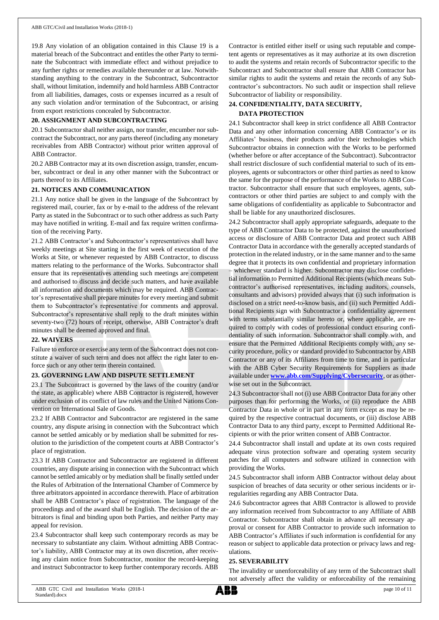19.8 Any violation of an obligation contained in this Clause 19 is a material breach of the Subcontract and entitles the other Party to terminate the Subcontract with immediate effect and without prejudice to any further rights or remedies available thereunder or at law. Notwithstanding anything to the contrary in the Subcontract, Subcontractor shall, without limitation, indemnify and hold harmless ABB Contractor from all liabilities, damages, costs or expenses incurred as a result of any such violation and/or termination of the Subcontract, or arising from export restrictions concealed by Subcontractor.

# **20. ASSIGNMENT AND SUBCONTRACTING**

20.1 Subcontractor shall neither assign, nor transfer, encumber nor subcontract the Subcontract, nor any parts thereof (including any monetary receivables from ABB Contractor) without prior written approval of ABB Contractor.

20.2 ABB Contractor may at its own discretion assign, transfer, encumber, subcontract or deal in any other manner with the Subcontract or parts thereof to its Affiliates.

#### **21. NOTICES AND COMMUNICATION**

21.1 Any notice shall be given in the language of the Subcontract by registered mail, courier, fax or by e-mail to the address of the relevant Party as stated in the Subcontract or to such other address as such Party may have notified in writing. E-mail and fax require written confirmation of the receiving Party.

21.2 ABB Contractor's and Subcontractor's representatives shall have weekly meetings at Site starting in the first week of execution of the Works at Site, or whenever requested by ABB Contractor, to discuss matters relating to the performance of the Works. Subcontractor shall ensure that its representatives attending such meetings are competent and authorised to discuss and decide such matters, and have available all information and documents which may be required. ABB Contractor's representative shall prepare minutes for every meeting and submit them to Subcontractor's representative for comments and approval. Subcontractor's representative shall reply to the draft minutes within seventy-two (72) hours of receipt, otherwise, ABB Contractor's draft minutes shall be deemed approved and final.

## **22. WAIVERS**

Failure to enforce or exercise any term of the Subcontract does not constitute a waiver of such term and does not affect the right later to enforce such or any other term therein contained.

## **23. GOVERNING LAW AND DISPUTE SETTLEMENT**

23.1 The Subcontract is governed by the laws of the country (and/or the state, as applicable) where ABB Contractor is registered, however under exclusion of its conflict of law rules and the United Nations Convention on International Sale of Goods.

23.2 If ABB Contractor and Subcontractor are registered in the same country, any dispute arising in connection with the Subcontract which cannot be settled amicably or by mediation shall be submitted for resolution to the jurisdiction of the competent courts at ABB Contractor's place of registration.

23.3 If ABB Contractor and Subcontractor are registered in different countries, any dispute arising in connection with the Subcontract which cannot be settled amicably or by mediation shall be finally settled under the Rules of Arbitration of the International Chamber of Commerce by three arbitrators appointed in accordance therewith. Place of arbitration shall be ABB Contractor's place of registration. The language of the proceedings and of the award shall be English. The decision of the arbitrators is final and binding upon both Parties, and neither Party may appeal for revision.

23.4 Subcontractor shall keep such contemporary records as may be necessary to substantiate any claim. Without admitting ABB Contractor's liability, ABB Contractor may at its own discretion, after receiving any claim notice from Subcontractor, monitor the record-keeping and instruct Subcontractor to keep further contemporary records. ABB

Contractor is entitled either itself or using such reputable and competent agents or representatives as it may authorize at its own discretion to audit the systems and retain records of Subcontractor specific to the Subcontract and Subcontractor shall ensure that ABB Contractor has similar rights to audit the systems and retain the records of any Subcontractor's subcontractors. No such audit or inspection shall relieve Subcontractor of liability or responsibility.

# **24. CONFIDENTIALITY, DATA SECURITY, DATA PROTECTION**

24.1 Subcontractor shall keep in strict confidence all ABB Contractor Data and any other information concerning ABB Contractor's or its Affiliates' business, their products and/or their technologies which Subcontractor obtains in connection with the Works to be performed (whether before or after acceptance of the Subcontract). Subcontractor shall restrict disclosure of such confidential material to such of its employees, agents or subcontractors or other third parties as need to know the same for the purpose of the performance of the Works to ABB Contractor. Subcontractor shall ensure that such employees, agents, subcontractors or other third parties are subject to and comply with the same obligations of confidentiality as applicable to Subcontractor and shall be liable for any unauthorized disclosures.

24.2 Subcontractor shall apply appropriate safeguards, adequate to the type of ABB Contractor Data to be protected, against the unauthorised access or disclosure of ABB Contractor Data and protect such ABB Contractor Data in accordance with the generally accepted standards of protection in the related industry, or in the same manner and to the same degree that it protects its own confidential and proprietary information – whichever standard is higher. Subcontractor may disclose confidential information to Permitted Additional Recipients (which means Subcontractor's authorised representatives, including auditors, counsels, consultants and advisors) provided always that (i) such information is disclosed on a strict need-to-know basis, and (ii) such Permitted Additional Recipients sign with Subcontractor a confidentiality agreement with terms substantially similar hereto or, where applicable, are required to comply with codes of professional conduct ensuring confidentiality of such information. Subcontractor shall comply with, and ensure that the Permitted Additional Recipients comply with, any security procedure, policy or standard provided to Subcontractor by ABB Contractor or any of its Affiliates from time to time, and in particular with the ABB Cyber Security Requirements for Suppliers as made available under **[www.abb.com/Supplying/Cybersecurity](http://www.abb.com/Supplying/Cybersecurity)**, or as otherwise set out in the Subcontract.

24.3 Subcontractor shall not (i) use ABB Contractor Data for any other purposes than for performing the Works, or (ii) reproduce the ABB Contractor Data in whole or in part in any form except as may be required by the respective contractual documents, or (iii) disclose ABB Contractor Data to any third party, except to Permitted Additional Recipients or with the prior written consent of ABB Contractor.

24.4 Subcontractor shall install and update at its own costs required adequate virus protection software and operating system security patches for all computers and software utilized in connection with providing the Works.

24.5 Subcontractor shall inform ABB Contractor without delay about suspicion of breaches of data security or other serious incidents or irregularities regarding any ABB Contractor Data.

24.6 Subcontractor agrees that ABB Contractor is allowed to provide any information received from Subcontractor to any Affiliate of ABB Contractor. Subcontractor shall obtain in advance all necessary approval or consent for ABB Contractor to provide such information to ABB Contractor's Affiliates if such information is confidential for any reason or subject to applicable data protection or privacy laws and regulations.

## **25. SEVERABILITY**

The invalidity or unenforceability of any term of the Subcontract shall not adversely affect the validity or enforceability of the remaining